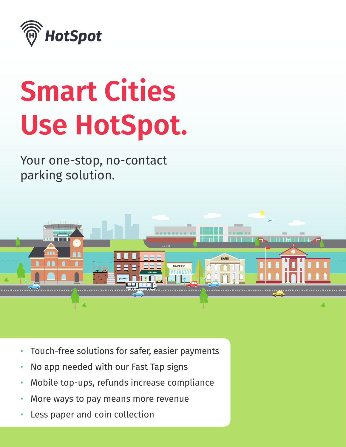

# **Smart Cities Use HotSpot.**

Your one-stop, no-contact parking solution.



- Touch-free solutions for safer, easier payments
- No app needed with our Fast Tap signs
- Mobile top-ups, refunds increase compliance
- More ways to pay means more revenue
- Less paper and coin collection